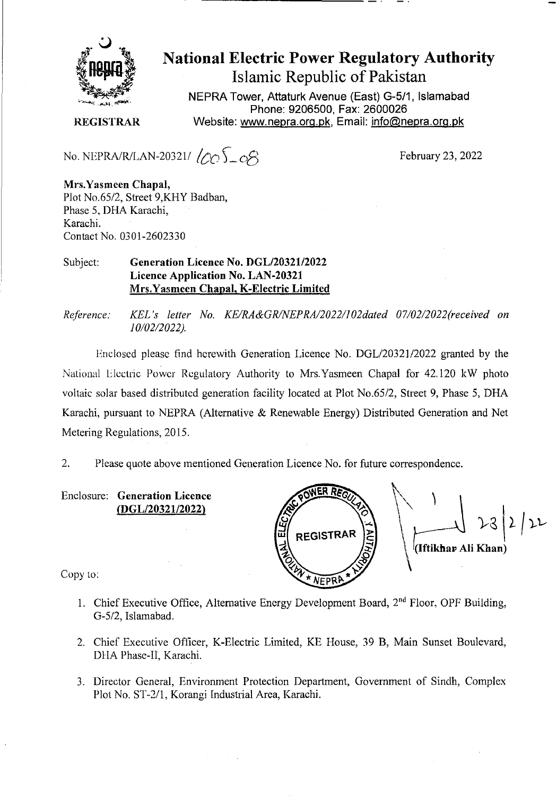

## **National Electric Power Regulatory Authority Islamic Republic of Pakistan**

**NEPRA Tower, Attaturk Avenue (East) G-511, Islamabad Phone: 9206500, Fax: 2600026 REGISTRAR** Website: www.nepra.org.pk, Email: info@nepra.org.pk

No. NEPRA/R/LAN-20321/  $\sqrt{20}$   $\sqrt{20}$   $\sqrt{8}$  February 23, 2022

**Mrs.Yasmeen Chapal,**  Plot No.65/2, Street 9,KHY Badban, Phase 5, I)HA Karachi, Karachi. Contact No. 0301-2602330

## Subject: **Generation Licence No. DGL/20321/2022 Licence Application No.** LAN-20321 Mrs.Yasmeen **Chapal,** K**-Electric Limited**

*Reference: KEL 's letter No. KE/RA&GRINEPRA/2022/102dated 07/02/2022'received on 10/02/2022).* 

Enclosed please find herewith Generation Licence No. DGL/20321/2022 granted by the National Electric Power Regulatory Authority to Mrs.Yasmeen Chapal for 42.120 kW photo voltaic solar based distributed generation facility located at Plot No.65/2, Street 9, Phase *5,* DHA Karachi, pursuant to NEPRA (Alternative & Renewable Energy) Distributed Generation and Net Metering Regulations, 2015.

2. Please quote above mentioned Generation Licence No. for future correspondence.

Enclosure: **Generation Licence**  (DGL/2032 1/2022)



Copy to:

- 1. Chief Executive Office, Alternative Energy Development Board, 2<sup>nd</sup> Floor, OPF Building, G-5/2, Islarnabad.
- 2. Chief Executive Officer, K-Electric Limited, KE House, 39 B, Main Sunset Boulevard, D1lA Phase-Il, Karachi.
- 3. Director General, Environment Protection Department, Government of Sindh, Complex Plot No. ST-2/1, Korangi Industrial Area, Karachi.